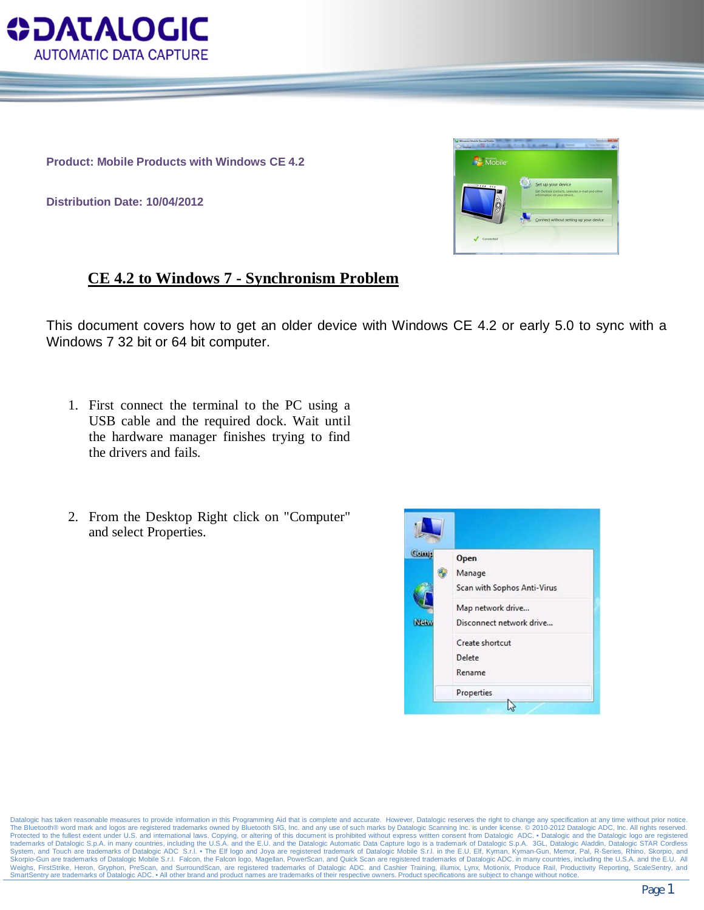

**Product: Mobile Products with Windows CE 4.2**

**Distribution Date: 10/04/2012**



## **CE 4.2 to Windows 7 - Synchronism Problem**

This document covers how to get an older device with Windows CE 4.2 or early 5.0 to sync with a Windows 7 32 bit or 64 bit computer.

- 1. First connect the terminal to the PC using a USB cable and the required dock. Wait until the hardware manager finishes trying to find the drivers and fails.
- 2. From the Desktop Right click on "Computer" and select Properties.



Datalogic has taken reasonable measures to provide information in this Programming Aid that is complete and accurate. However, Datalogic reserves the right to change any specification at any time without prior notice The Bluetooth® word mark and logos are registered trademarks owned by Bluetooth SIG, Inc. and any use of such marks by Datalogic Scanning Inc. is under license. © 2010-2012 Datalogic ADC, Inc. All rights reserved. Protected to the fullest extent under U.S. and international laws. Copying, or altering of this document is prohibited without express written consent from Datalogic ADC. • Datalogic and the Datalogic logo are registered<br>t System, and Touch are trademarks of Datalogic ADC S.r.l. • The Elf logo and Joya are registered trademark of Datalogic Mobile S.r.l. in the E.U. Elf, Kyman, Kyman-Gun, Memor, Pal, R-Series, Rhino, Skorpio, and<br>Skorpio-Gun Weighs, FirstStrike, Heron, Gryphon, PreScan, and SurroundScan, are registered trademarks of Datalogic ADC. and Cashier Training, illumix, Lynx, Motionix, Produce Rail, Productivity Reporting, ScaleSentry, and SmartSentry are trademarks of Datalogic ADC. • All other brand and product names are trademarks of their respective owners. Product specifications are subject to change without notice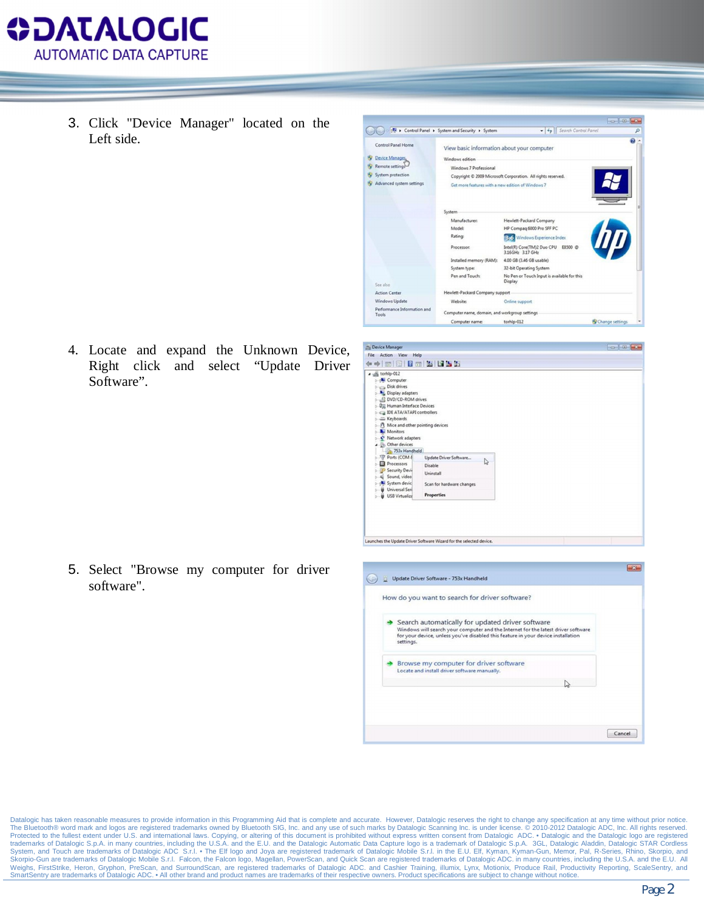

3. Click "Device Manager" located on the Left side.



4. Locate and expand the Unknown Device, Right click and select "Update Driver Software".

| Ca Device Manager                                                                                                                                                                                                                                                                               | -o-0-0-                                        |   |  |  |
|-------------------------------------------------------------------------------------------------------------------------------------------------------------------------------------------------------------------------------------------------------------------------------------------------|------------------------------------------------|---|--|--|
| File Action View Help                                                                                                                                                                                                                                                                           |                                                |   |  |  |
| $\Leftrightarrow$ 0 0 0 2 0 5 5 5                                                                                                                                                                                                                                                               |                                                |   |  |  |
| $\triangle$ torhlp-012<br><b>L</b> Computer<br>Disk drives<br>Display adapters<br>DVD/CD-ROM drives<br><b>DE Human Interface Devices</b><br>Ca IDE ATA/ATAPI controllers<br>> = Keyboards<br><b>b</b> - $\int$ <sup>0</sup> Mice and other pointing devices<br>Monitors<br>- P Network adapters |                                                |   |  |  |
| 4 - (b) Other devices<br>753x Handheld                                                                                                                                                                                                                                                          |                                                |   |  |  |
| Ports (COM &<br>Processors<br>Security Devi-<br>Sound, video<br>System devic                                                                                                                                                                                                                    | Update Driver Software<br>Disable<br>Uninstall | ₫ |  |  |
| <b>b</b> Universal Seri<br><b>b</b> USB Virtualiza                                                                                                                                                                                                                                              | Scan for hardware changes<br><b>Properties</b> |   |  |  |
|                                                                                                                                                                                                                                                                                                 |                                                |   |  |  |

5. Select "Browse my computer for driver software".

| Search automatically for updated driver software                                                                                                                                   |
|------------------------------------------------------------------------------------------------------------------------------------------------------------------------------------|
| Windows will search your computer and the Internet for the latest driver software<br>for your device, unless you've disabled this feature in your device installation<br>settings. |
| Browse my computer for driver software<br>Locate and install driver software manually.                                                                                             |
|                                                                                                                                                                                    |

Datalogic has taken reasonable measures to provide information in this Programming Aid that is complete and accurate. However, Datalogic reserves the right to change any specification at any time without prior notice. The Bluetooth® word mark and logos are registered trademarks owned by Bluetooth SIG, Inc. and any use of such marks by Datalogic Scanning Inc. is under license. © 2010-2012 Datalogic ADC, Inc. All rights reserved. Protected to the fullest extent under U.S. and international laws. Copying, or altering of this document is prohibited without express written consent from Datalogic ADC. • Datalogic and the Datalogic logo are registered<br>t System, and Touch are trademarks of Datalogic ADC S.r.l. • The Elf logo and Joya are registered trademark of Datalogic Mobile S.r.l. in the E.U. Elf, Kyman, Kyman-Gun, Memor, Pal, R-Series, Rhino, Skorpio, and<br>Skorpio-Gun Weighs, FirstStrike, Heron, Gryphon, PreScan, and SurroundScan, are registered trademarks of Datalogic ADC. and Cashier Training, illumix, Lynx, Motionix, Produce Rail, Productivity Reporting, ScaleSentry, and Weighs, Firs SmartSentry are trademarks of Datalogic ADC. • All other brand and product names are trademarks of their respective owners. Product specifications are subject to change without notice.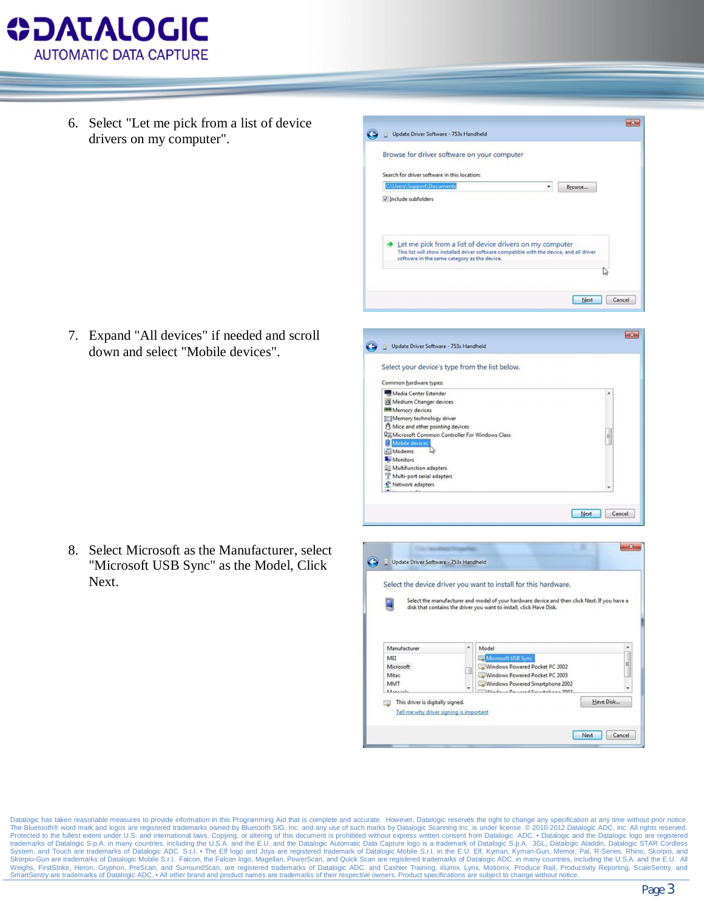

6. Select "Let me pick from a list of device drivers on my computer".

7. Expand "All devices" if needed and scroll down and select "Mobile devices".

8. Select Microsoft as the Manufacturer, select "Microsoft USB Sync" as the Model, Click Next.

|                                                                                                                                                                                      | Search for driver software in this location:                                                                                                                        |                |
|--------------------------------------------------------------------------------------------------------------------------------------------------------------------------------------|---------------------------------------------------------------------------------------------------------------------------------------------------------------------|----------------|
| C:\Users\Support\Documents                                                                                                                                                           | ۰                                                                                                                                                                   | Browse         |
| V Include subfolders                                                                                                                                                                 |                                                                                                                                                                     |                |
| software in the same category as the device.                                                                                                                                         | Let me pick from a list of device drivers on my computer<br>This list will show installed driver software compatible with the device, and all driver                | lv3            |
|                                                                                                                                                                                      |                                                                                                                                                                     | Next<br>Cancel |
|                                                                                                                                                                                      |                                                                                                                                                                     |                |
| Update Driver Software - 753x Handheld                                                                                                                                               |                                                                                                                                                                     |                |
| Select your device's type from the list below.                                                                                                                                       |                                                                                                                                                                     |                |
| Common hardware types:                                                                                                                                                               |                                                                                                                                                                     |                |
| Media Center Extender<br>Medium Changer devices<br>Memory devices<br>Memory technology driver<br>Mice and other pointing devices<br>Um Microsoft Common Controller For Windows Class |                                                                                                                                                                     | ۸<br>E         |
| Mobile devices<br>Modems<br>Monitors<br>Multifunction adapters<br>Multi-port serial adapters<br>Network adapters                                                                     |                                                                                                                                                                     |                |
|                                                                                                                                                                                      |                                                                                                                                                                     | Next<br>Cancel |
|                                                                                                                                                                                      |                                                                                                                                                                     |                |
| Update Driver Software - 753x Handheld                                                                                                                                               |                                                                                                                                                                     |                |
|                                                                                                                                                                                      | Select the device driver you want to install for this hardware.                                                                                                     |                |
|                                                                                                                                                                                      | Select the manufacturer and model of your hardware device and then click Next. If you have a<br>disk that contains the driver you want to install, click Have Disk. |                |
|                                                                                                                                                                                      |                                                                                                                                                                     |                |
| Manufacturer<br>MEI<br>Microsoft                                                                                                                                                     | $\blacktriangle$<br>Model<br><b>BR</b> Microsoft USB Sync<br>Windows Powered Pocket PC 2002<br>Windows Powered Pocket PC 2003                                       |                |
| Mitac<br>MMT                                                                                                                                                                         | Windows Powered Smartphone 2002                                                                                                                                     |                |

Datalogic has taken reasonable measures to provide information in this Programming Aid that is complete and accurate. However, Datalogic reserves the right to change any specification at any time without prior notice. The Bluetooth® word mark and logos are registered trademarks owned by Bluetooth SIG, Inc. and any use of such marks by Datalogic Scanning Inc. is under license. © 2010-2012 Datalogic ADC, Inc. All rights reserved. Protected to the fullest extent under U.S. and international laws. Copying, or altering of this document is prohibited without express written consent from Datalogic ADC. • Datalogic and the Datalogic logo are registered<br>t System, and Touch are trademarks of Datalogic ADC S.r.l. • The Elf logo and Joya are registered trademark of Datalogic Mobile S.r.l. in the E.U. Elf, Kyman, Kyman-Gun, Memor, Pal, R-Series, Rhino, Skorpio, and<br>Skorpio-Gun Weighs, FirstStrike, Heron, Gryphon, PreScan, and SurroundScan, are registered trademarks of Datalogic ADC. and Cashier Training, illumix, Lynx, Motionix, Produce Rail, Productivity Reporting, ScaleSentry, and SmartSentry are trademarks of Datalogic ADC. • All other brand and product names are trademarks of their respective owners. Product specifications are subject to change without notice

 $\mathbf{E}$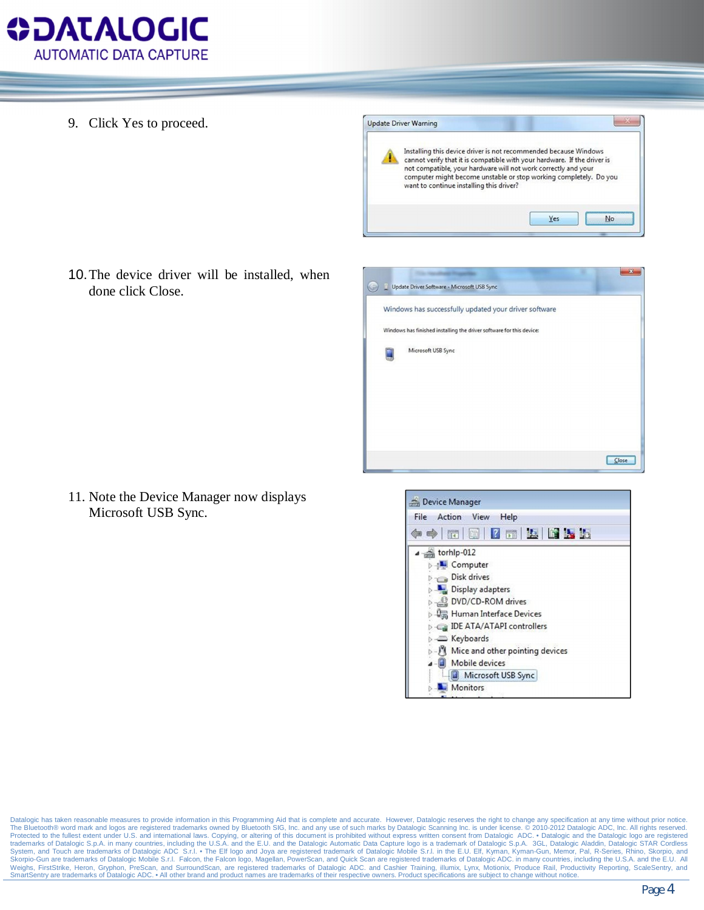

9. Click Yes to proceed.



10.The device driver will be installed, when done click Close.

|  | Update Driver Software - Microsoft USB Sync                          |       |
|--|----------------------------------------------------------------------|-------|
|  | Windows has successfully updated your driver software                |       |
|  | Windows has finished installing the driver software for this device: |       |
|  | Microsoft USB Sync                                                   |       |
|  |                                                                      |       |
|  |                                                                      |       |
|  |                                                                      |       |
|  |                                                                      |       |
|  |                                                                      | Close |

11. Note the Device Manager now displays Microsoft USB Sync.



Datalogic has taken reasonable measures to provide information in this Programming Aid that is complete and accurate. However, Datalogic reserves the right to change any specification at any time without prior notice. The Bluetooth® word mark and logos are registered trademarks owned by Bluetooth SIG, Inc. and any use of such marks by Datalogic Scanning Inc. is under license. © 2010-2012 Datalogic ADC, Inc. All rights reserved. Protected to the fullest extent under U.S. and international laws. Copying, or altering of this document is prohibited without express written consent from Datalogic ADC. • Datalogic and the Datalogic logo are registered<br>t System, and Touch are trademarks of Datalogic ADC S.r.l. • The Elf logo and Joya are registered trademark of Datalogic Mobile S.r.l. in the E.U. Elf, Kyman, Kyman-Gun, Memor, Pal, R-Series, Rhino, Skorpio, and<br>Skorpio-Gun Weighs, FirstStrike, Heron, Gryphon, PreScan, and SurroundScan, are registered trademarks of Datalogic ADC. and Cashier Training, illumix, Lynx, Motionix, Produce Rail, Productivity Reporting, ScaleSentry, and SmartSentry are trademarks of Datalogic ADC. • All other brand and product names are trademarks of their respective owners. Product specifications are subject to change without notice.